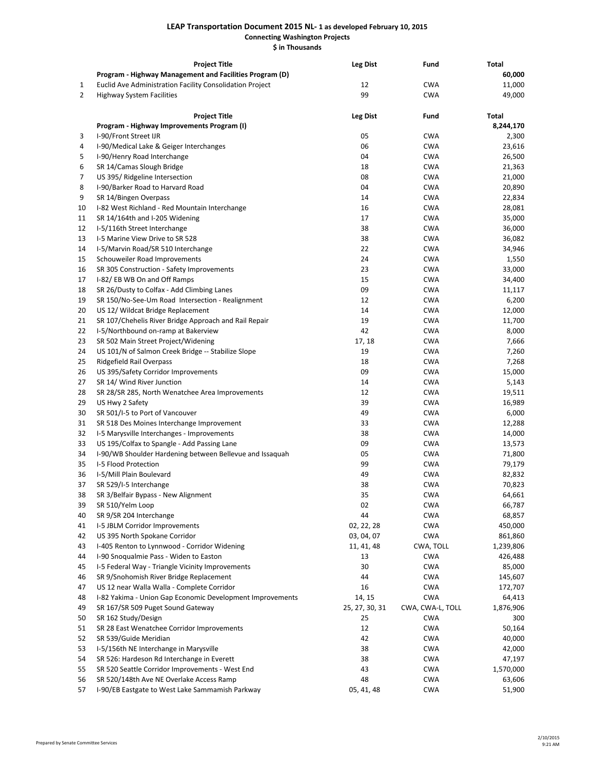## **LEAP Transportation Document 2015 NL- 1 as developed February 10, 2015 Connecting Washington Projects \$ in Thousands**

|                | <b>Project Title</b>                                      | <b>Leg Dist</b> | Fund             | Total     |
|----------------|-----------------------------------------------------------|-----------------|------------------|-----------|
|                | Program - Highway Management and Facilities Program (D)   |                 |                  | 60,000    |
| $\mathbf{1}$   | Euclid Ave Administration Facility Consolidation Project  | 12              | <b>CWA</b>       | 11,000    |
| $\overline{2}$ | <b>Highway System Facilities</b>                          | 99              | <b>CWA</b>       | 49,000    |
|                | <b>Project Title</b>                                      | <b>Leg Dist</b> | Fund             | Total     |
|                | Program - Highway Improvements Program (I)                |                 |                  | 8,244,170 |
| 3              | I-90/Front Street IJR                                     | 05              | <b>CWA</b>       | 2,300     |
| 4              | I-90/Medical Lake & Geiger Interchanges                   | 06              | <b>CWA</b>       | 23,616    |
| 5              | I-90/Henry Road Interchange                               | 04              | <b>CWA</b>       | 26,500    |
| 6              | SR 14/Camas Slough Bridge                                 | 18              | <b>CWA</b>       | 21,363    |
| 7              | US 395/ Ridgeline Intersection                            | 08              | <b>CWA</b>       | 21,000    |
| 8              | I-90/Barker Road to Harvard Road                          | 04              | <b>CWA</b>       | 20,890    |
| 9              | SR 14/Bingen Overpass                                     | 14              | <b>CWA</b>       | 22,834    |
| 10             | I-82 West Richland - Red Mountain Interchange             | 16              | <b>CWA</b>       | 28,081    |
| 11             | SR 14/164th and I-205 Widening                            | 17              | <b>CWA</b>       | 35,000    |
| 12             | I-5/116th Street Interchange                              | 38              | <b>CWA</b>       | 36,000    |
| 13             | I-5 Marine View Drive to SR 528                           | 38              | <b>CWA</b>       | 36,082    |
| 14             | I-5/Marvin Road/SR 510 Interchange                        | 22              | <b>CWA</b>       | 34,946    |
| 15             | Schouweiler Road Improvements                             | 24              | <b>CWA</b>       | 1,550     |
| 16             | SR 305 Construction - Safety Improvements                 | 23              | <b>CWA</b>       | 33,000    |
| 17             | I-82/EB WB On and Off Ramps                               | 15              | <b>CWA</b>       | 34,400    |
| 18             | SR 26/Dusty to Colfax - Add Climbing Lanes                | 09              | <b>CWA</b>       | 11,117    |
| 19             | SR 150/No-See-Um Road Intersection - Realignment          | 12              | <b>CWA</b>       | 6,200     |
| 20             | US 12/ Wildcat Bridge Replacement                         | 14              | <b>CWA</b>       | 12,000    |
| 21             | SR 107/Chehelis River Bridge Approach and Rail Repair     | 19              | <b>CWA</b>       | 11,700    |
| 22             | I-5/Northbound on-ramp at Bakerview                       | 42              | <b>CWA</b>       | 8,000     |
| 23             | SR 502 Main Street Project/Widening                       | 17, 18          | <b>CWA</b>       | 7,666     |
| 24             | US 101/N of Salmon Creek Bridge -- Stabilize Slope        | 19              | <b>CWA</b>       | 7,260     |
| 25             | Ridgefield Rail Overpass                                  | 18              | <b>CWA</b>       | 7,268     |
| 26             | US 395/Safety Corridor Improvements                       | 09              | <b>CWA</b>       | 15,000    |
| 27             | SR 14/ Wind River Junction                                | 14              | <b>CWA</b>       | 5,143     |
| 28             | SR 28/SR 285, North Wenatchee Area Improvements           | 12              | <b>CWA</b>       | 19,511    |
| 29             | US Hwy 2 Safety                                           | 39              | CWA              | 16,989    |
| 30             | SR 501/I-5 to Port of Vancouver                           | 49              | <b>CWA</b>       | 6,000     |
| 31             | SR 518 Des Moines Interchange Improvement                 | 33              | <b>CWA</b>       | 12,288    |
| 32             | I-5 Marysville Interchanges - Improvements                | 38              | <b>CWA</b>       | 14,000    |
| 33             | US 195/Colfax to Spangle - Add Passing Lane               | 09              | <b>CWA</b>       | 13,573    |
| 34             | I-90/WB Shoulder Hardening between Bellevue and Issaquah  | 05              | <b>CWA</b>       | 71,800    |
| 35             | I-5 Flood Protection                                      | 99              | <b>CWA</b>       | 79,179    |
| 36             | I-5/Mill Plain Boulevard                                  | 49              | CWA              | 82,832    |
| 37             | SR 529/I-5 Interchange                                    | 38              | <b>CWA</b>       | 70,823    |
| 38             | SR 3/Belfair Bypass - New Alignment                       | 35              | CWA              | 64,661    |
| 39             | SR 510/Yelm Loop                                          | 02              | <b>CWA</b>       | 66,787    |
| 40             | SR 9/SR 204 Interchange                                   | 44              | <b>CWA</b>       | 68,857    |
| 41             | I-5 JBLM Corridor Improvements                            | 02, 22, 28      | <b>CWA</b>       | 450,000   |
| 42             | US 395 North Spokane Corridor                             | 03, 04, 07      | <b>CWA</b>       | 861,860   |
| 43             | I-405 Renton to Lynnwood - Corridor Widening              | 11, 41, 48      | CWA, TOLL        | 1,239,806 |
| 44             | I-90 Snoqualmie Pass - Widen to Easton                    | 13              | <b>CWA</b>       | 426,488   |
| 45             | I-5 Federal Way - Triangle Vicinity Improvements          | 30              | <b>CWA</b>       | 85,000    |
| 46             | SR 9/Snohomish River Bridge Replacement                   | 44              | <b>CWA</b>       | 145,607   |
| 47             | US 12 near Walla Walla - Complete Corridor                | 16              | <b>CWA</b>       | 172,707   |
| 48             | I-82 Yakima - Union Gap Economic Development Improvements | 14, 15          | <b>CWA</b>       | 64,413    |
| 49             | SR 167/SR 509 Puget Sound Gateway                         | 25, 27, 30, 31  | CWA, CWA-L, TOLL | 1,876,906 |
| 50             | SR 162 Study/Design                                       | 25              | <b>CWA</b>       | 300       |
| 51             | SR 28 East Wenatchee Corridor Improvements                | 12              | <b>CWA</b>       | 50,164    |
| 52             | SR 539/Guide Meridian                                     | 42              | <b>CWA</b>       | 40,000    |
| 53             | I-5/156th NE Interchange in Marysville                    | 38              | <b>CWA</b>       | 42,000    |
| 54             | SR 526: Hardeson Rd Interchange in Everett                | 38              | <b>CWA</b>       | 47,197    |
| 55             | SR 520 Seattle Corridor Improvements - West End           | 43              | <b>CWA</b>       | 1,570,000 |
| 56             | SR 520/148th Ave NE Overlake Access Ramp                  | 48              | <b>CWA</b>       | 63,606    |
| 57             | I-90/EB Eastgate to West Lake Sammamish Parkway           | 05, 41, 48      | <b>CWA</b>       | 51,900    |